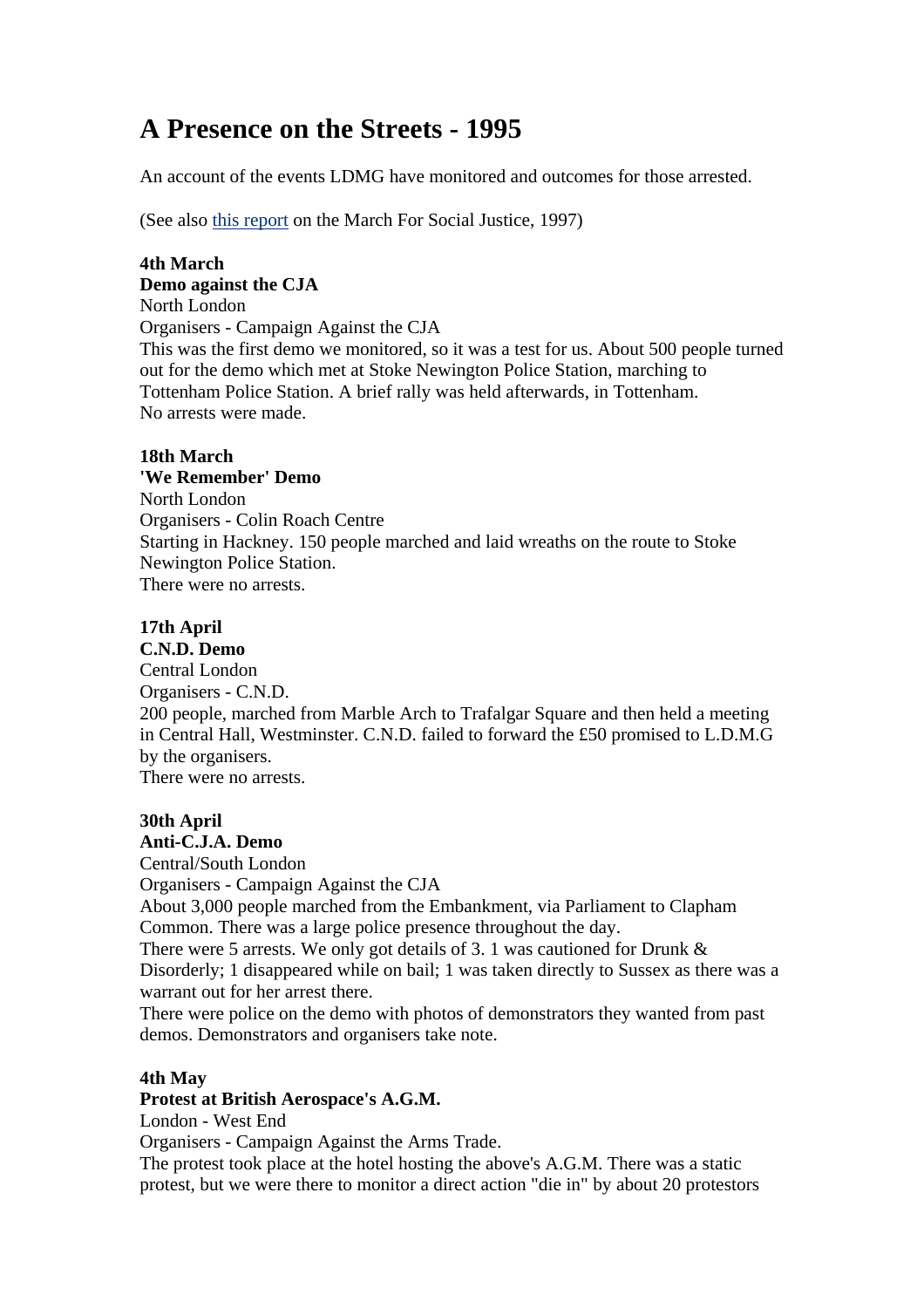# **A Presence on the Streets - 1995**

An account of the events LDMG have monitored and outcomes for those arrested.

(See also this report on the March For Social Justice, 1997)

#### **4th March Demo against the CJA**

North London Organisers - Campaign Against the CJA This was the first demo we monitored, so it was a test for us. About 500 people turned out for the demo which met at Stoke Newington Police Station, marching to Tottenham Police Station. A brief rally was held afterwards, in Tottenham. No arrests were made.

# **18th March**

## **'We Remember' Demo**

North London Organisers - Colin Roach Centre Starting in Hackney. 150 people marched and laid wreaths on the route to Stoke Newington Police Station. There were no arrests.

# **17th April**

# **C.N.D. Demo**

Central London Organisers - C.N.D. 200 people, marched from Marble Arch to Trafalgar Square and then held a meeting in Central Hall, Westminster. C.N.D. failed to forward the £50 promised to L.D.M.G by the organisers. There were no arrests.

# **30th April**

# **Anti-C.J.A. Demo**

Central/South London Organisers - Campaign Against the CJA About 3,000 people marched from the Embankment, via Parliament to Clapham Common. There was a large police presence throughout the day. There were 5 arrests. We only got details of 3. 1 was cautioned for Drunk  $\&$ 

Disorderly; 1 disappeared while on bail; 1 was taken directly to Sussex as there was a warrant out for her arrest there.

There were police on the demo with photos of demonstrators they wanted from past demos. Demonstrators and organisers take note.

## **4th May**

#### **Protest at British Aerospace's A.G.M.**

London - West End

Organisers - Campaign Against the Arms Trade.

The protest took place at the hotel hosting the above's A.G.M. There was a static protest, but we were there to monitor a direct action "die in" by about 20 protestors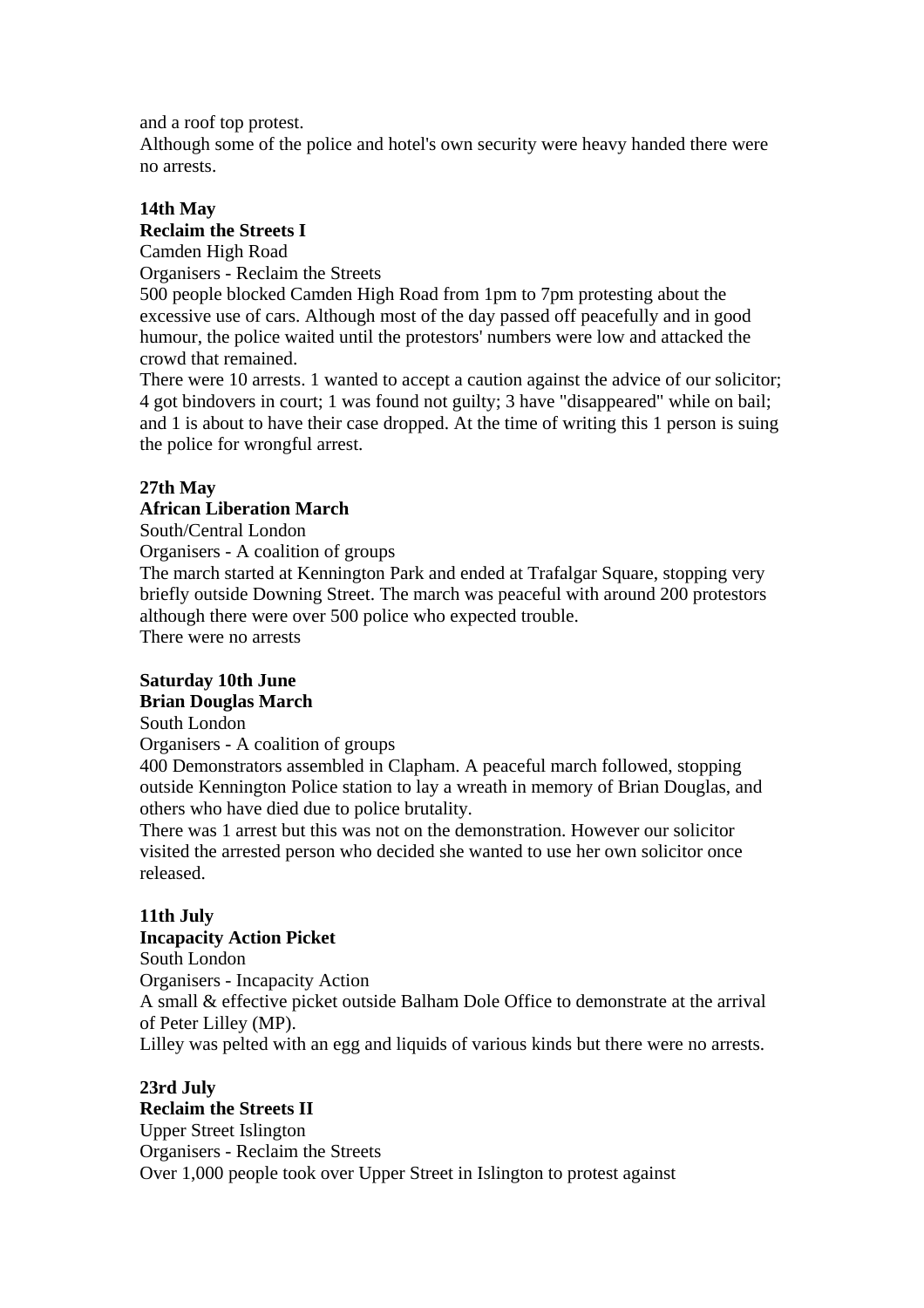and a roof top protest.

Although some of the police and hotel's own security were heavy handed there were no arrests.

# **14th May Reclaim the Streets I**

Camden High Road Organisers - Reclaim the Streets

500 people blocked Camden High Road from 1pm to 7pm protesting about the excessive use of cars. Although most of the day passed off peacefully and in good humour, the police waited until the protestors' numbers were low and attacked the crowd that remained.

There were 10 arrests. 1 wanted to accept a caution against the advice of our solicitor; 4 got bindovers in court; 1 was found not guilty; 3 have "disappeared" while on bail; and 1 is about to have their case dropped. At the time of writing this 1 person is suing the police for wrongful arrest.

# **27th May**

# **African Liberation March**

South/Central London

Organisers - A coalition of groups

The march started at Kennington Park and ended at Trafalgar Square, stopping very briefly outside Downing Street. The march was peaceful with around 200 protestors although there were over 500 police who expected trouble.

There were no arrests

#### **Saturday 10th June Brian Douglas March**

South London

Organisers - A coalition of groups

400 Demonstrators assembled in Clapham. A peaceful march followed, stopping outside Kennington Police station to lay a wreath in memory of Brian Douglas, and others who have died due to police brutality.

There was 1 arrest but this was not on the demonstration. However our solicitor visited the arrested person who decided she wanted to use her own solicitor once released.

# **11th July**

# **Incapacity Action Picket**

South London

Organisers - Incapacity Action

A small & effective picket outside Balham Dole Office to demonstrate at the arrival of Peter Lilley (MP).

Lilley was pelted with an egg and liquids of various kinds but there were no arrests.

#### **23rd July Reclaim the Streets II**

Upper Street Islington Organisers - Reclaim the Streets Over 1,000 people took over Upper Street in Islington to protest against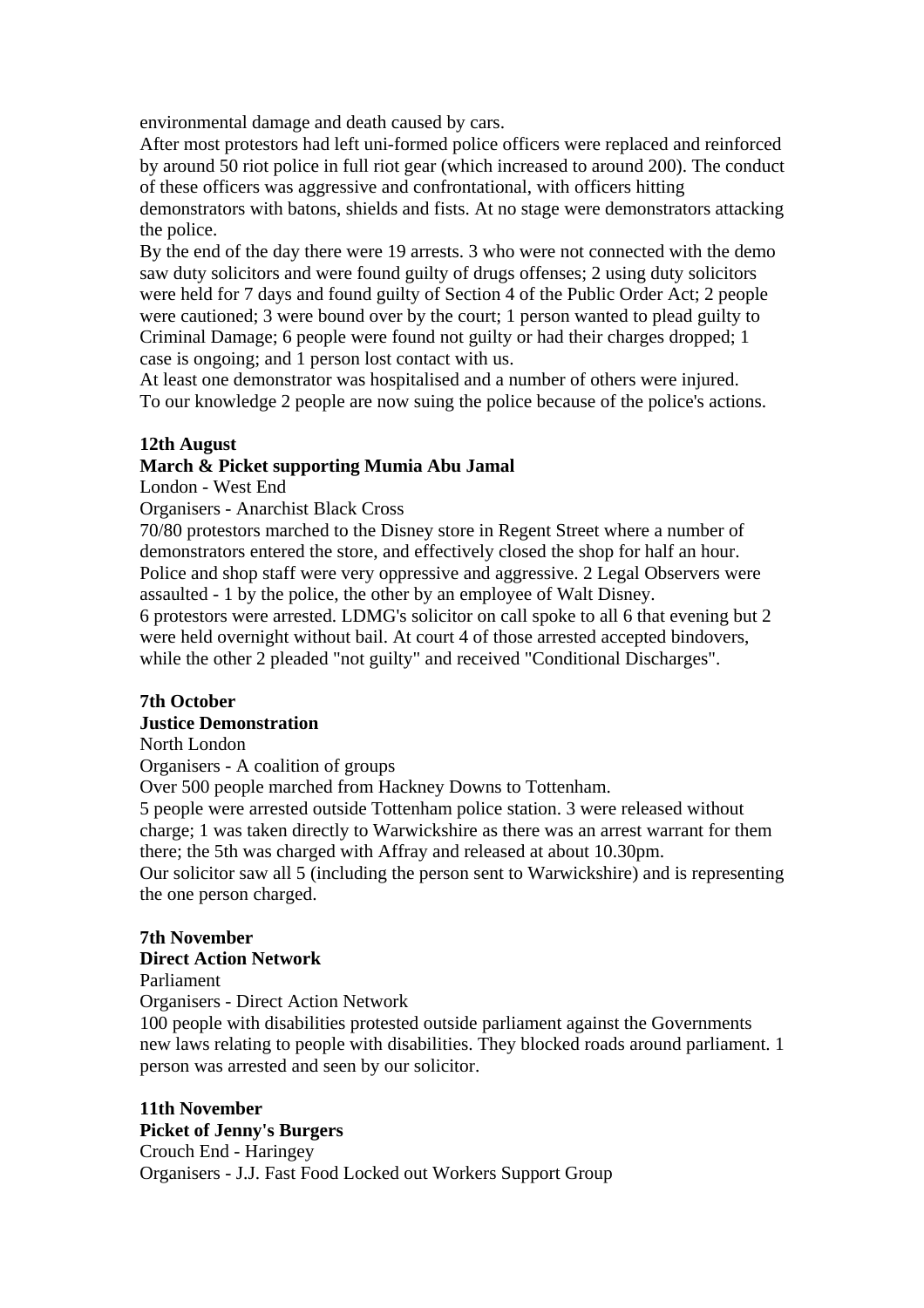environmental damage and death caused by cars.

After most protestors had left uni-formed police officers were replaced and reinforced by around 50 riot police in full riot gear (which increased to around 200). The conduct of these officers was aggressive and confrontational, with officers hitting

demonstrators with batons, shields and fists. At no stage were demonstrators attacking the police.

By the end of the day there were 19 arrests. 3 who were not connected with the demo saw duty solicitors and were found guilty of drugs offenses; 2 using duty solicitors were held for 7 days and found guilty of Section 4 of the Public Order Act; 2 people were cautioned; 3 were bound over by the court; 1 person wanted to plead guilty to Criminal Damage; 6 people were found not guilty or had their charges dropped; 1 case is ongoing; and 1 person lost contact with us.

At least one demonstrator was hospitalised and a number of others were injured. To our knowledge 2 people are now suing the police because of the police's actions.

## **12th August**

## **March & Picket supporting Mumia Abu Jamal**

London - West End

Organisers - Anarchist Black Cross

70/80 protestors marched to the Disney store in Regent Street where a number of demonstrators entered the store, and effectively closed the shop for half an hour. Police and shop staff were very oppressive and aggressive. 2 Legal Observers were assaulted - 1 by the police, the other by an employee of Walt Disney. 6 protestors were arrested. LDMG's solicitor on call spoke to all 6 that evening but 2 were held overnight without bail. At court 4 of those arrested accepted bindovers,

while the other 2 pleaded "not guilty" and received "Conditional Discharges".

# **7th October**

# **Justice Demonstration**

North London

Organisers - A coalition of groups

Over 500 people marched from Hackney Downs to Tottenham.

5 people were arrested outside Tottenham police station. 3 were released without charge; 1 was taken directly to Warwickshire as there was an arrest warrant for them there; the 5th was charged with Affray and released at about 10.30pm.

Our solicitor saw all 5 (including the person sent to Warwickshire) and is representing the one person charged.

## **7th November**

#### **Direct Action Network**

Parliament

Organisers - Direct Action Network

100 people with disabilities protested outside parliament against the Governments new laws relating to people with disabilities. They blocked roads around parliament. 1 person was arrested and seen by our solicitor.

# **11th November**

# **Picket of Jenny's Burgers**

Crouch End - Haringey Organisers - J.J. Fast Food Locked out Workers Support Group